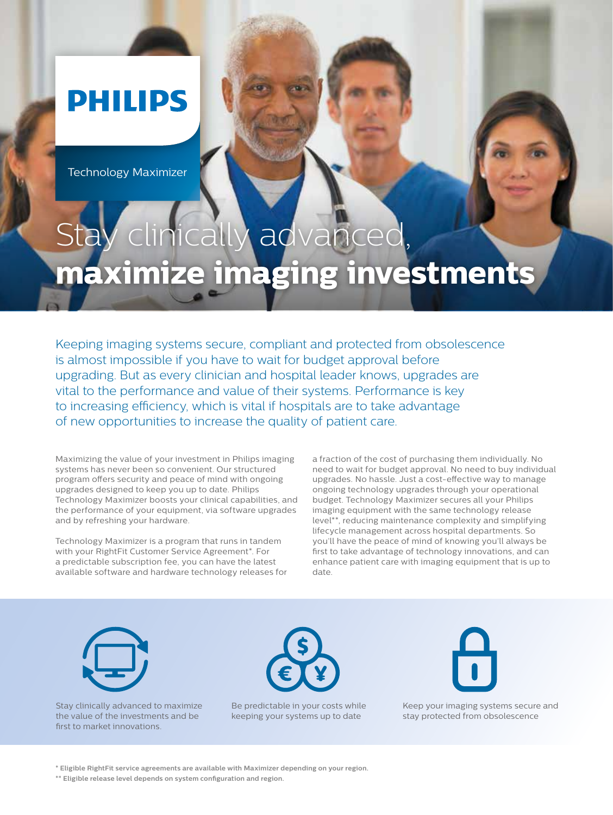## **PHILIPS**

Technology Maximizer

## nically advan **maximize imaging investments**

Keeping imaging systems secure, compliant and protected from obsolescence is almost impossible if you have to wait for budget approval before upgrading. But as every clinician and hospital leader knows, upgrades are vital to the performance and value of their systems. Performance is key to increasing efficiency, which is vital if hospitals are to take advantage of new opportunities to increase the quality of patient care.

Maximizing the value of your investment in Philips imaging systems has never been so convenient. Our structured program offers security and peace of mind with ongoing upgrades designed to keep you up to date. Philips Technology Maximizer boosts your clinical capabilities, and the performance of your equipment, via software upgrades and by refreshing your hardware.

Technology Maximizer is a program that runs in tandem with your RightFit Customer Service Agreement\*. For a predictable subscription fee, you can have the latest available software and hardware technology releases for

a fraction of the cost of purchasing them individually. No need to wait for budget approval. No need to buy individual upgrades. No hassle. Just a cost-effective way to manage ongoing technology upgrades through your operational budget. Technology Maximizer secures all your Philips imaging equipment with the same technology release level\*\*, reducing maintenance complexity and simplifying lifecycle management across hospital departments. So you'll have the peace of mind of knowing you'll always be first to take advantage of technology innovations, and can enhance patient care with imaging equipment that is up to date.



Stay clinically advanced to maximize the value of the investments and be first to market innovations.



Be predictable in your costs while keeping your systems up to date



Keep your imaging systems secure and stay protected from obsolescence

**\* Eligible RightFit service agreements are available with Maximizer depending on your region.**

**\*\* Eligible release level depends on system configuration and region.**